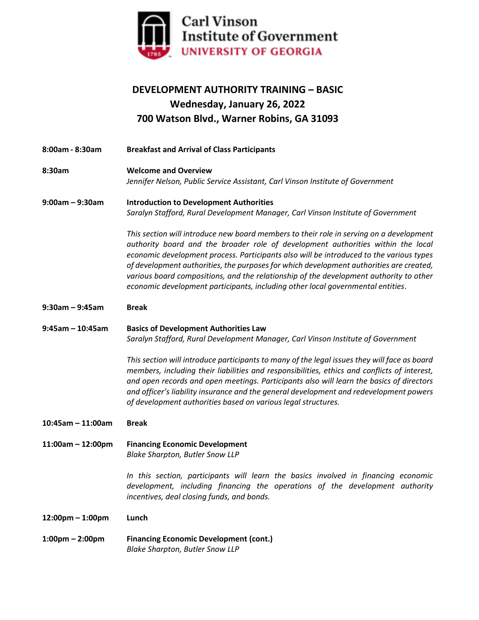

## **DEVELOPMENT AUTHORITY TRAINING – BASIC Wednesday, January 26, 2022 700 Watson Blvd., Warner Robins, GA 31093**

**8:00am - 8:30am Breakfast and Arrival of Class Participants 8:30am Welcome and Overview** *Jennifer Nelson, Public Service Assistant, Carl Vinson Institute of Government* **9:00am – 9:30am Introduction to Development Authorities** *Saralyn Stafford, Rural Development Manager, Carl Vinson Institute of Government This section will introduce new board members to their role in serving on a development authority board and the broader role of development authorities within the local economic development process. Participants also will be introduced to the various types of development authorities, the purposes for which development authorities are created, various board compositions, and the relationship of the development authority to other economic development participants, including other local governmental entities*. **9:30am – 9:45am Break 9:45am – 10:45am Basics of Development Authorities Law** *Saralyn Stafford, Rural Development Manager, Carl Vinson Institute of Government This section will introduce participants to many of the legal issues they will face as board members, including their liabilities and responsibilities, ethics and conflicts of interest, and open records and open meetings. Participants also will learn the basics of directors and officer's liability insurance and the general development and redevelopment powers of development authorities based on various legal structures.* **10:45am – 11:00am Break 11:00am – 12:00pm Financing Economic Development** *Blake Sharpton, Butler Snow LLP In this section, participants will learn the basics involved in financing economic development, including financing the operations of the development authority incentives, deal closing funds, and bonds.* **12:00pm – 1:00pm Lunch 1:00pm – 2:00pm Financing Economic Development (cont.)** *Blake Sharpton, Butler Snow LLP*